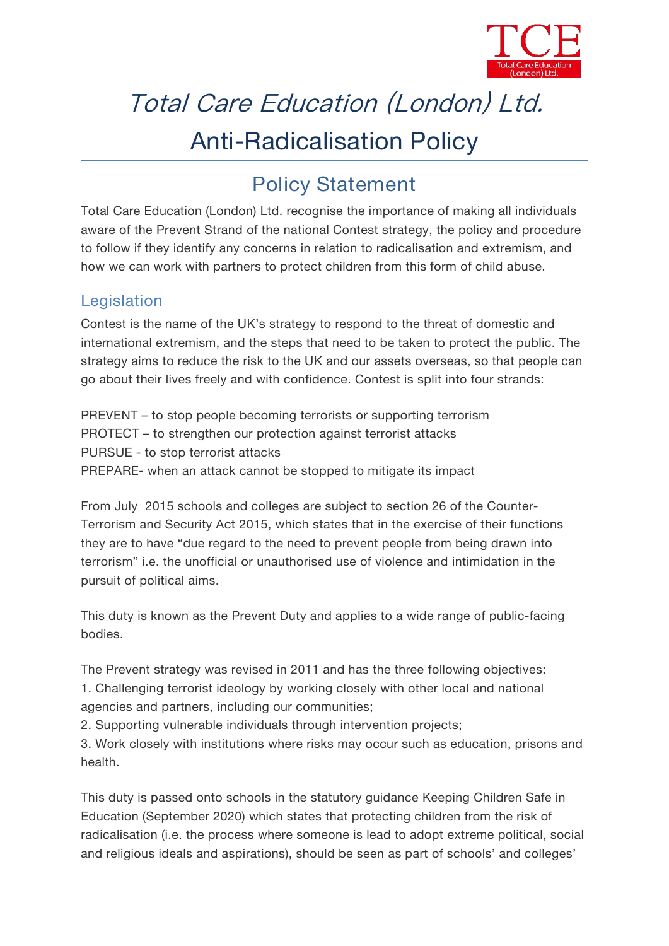

# Total Care Education (London) Ltd. Anti-Radicalisation Policy

## **Policy Statement**

*Total Care Education (London) Ltd.* recognise the importance of making all individuals aware of the Prevent Strand of the national Contest strategy, the policy and procedure to follow if they identify any concerns in relation to radicalisation and extremism, and how we can work with partners to protect children from this form of child abuse.

#### **Legislation**

Contest is the name of the UK's strategy to respond to the threat of domestic and international extremism, and the steps that need to be taken to protect the public. The strategy aims to reduce the risk to the UK and our assets overseas, so that people can go about their lives freely and with confidence. Contest is split into four strands:

PREVENT – to stop people becoming terrorists or supporting terrorism PROTECT – to strengthen our protection against terrorist attacks PURSUE - to stop terrorist attacks PREPARE- when an attack cannot be stopped to mitigate its impact

From July 2015 schools and colleges are subject to section 26 of the Counter- Terrorism and Security Act 2015, which states that in the exercise of their functions they are to have "due regard to the need to prevent people from being drawn into terrorism" i.e. the unofficial or unauthorised use of violence and intimidation in the pursuit of political aims.

This duty is known as the Prevent Duty and applies to a wide range of public-facing bodies.

The Prevent strategy was revised in 2011 and has the three following objectives: 1. Challenging terrorist ideology by working closely with other local and national agencies and partners, including our communities;

2. Supporting vulnerable individuals through intervention projects;

3. Work closely with institutions where risks may occur such as education, prisons and health.

This duty is passed onto schools in the statutory guidance *Keeping Children Safe in Education* (September 2020) which states that protecting children from the risk of radicalisation (i.e. the process where someone is lead to adopt extreme political, social and religious ideals and aspirations), should be seen as part of schools' and colleges'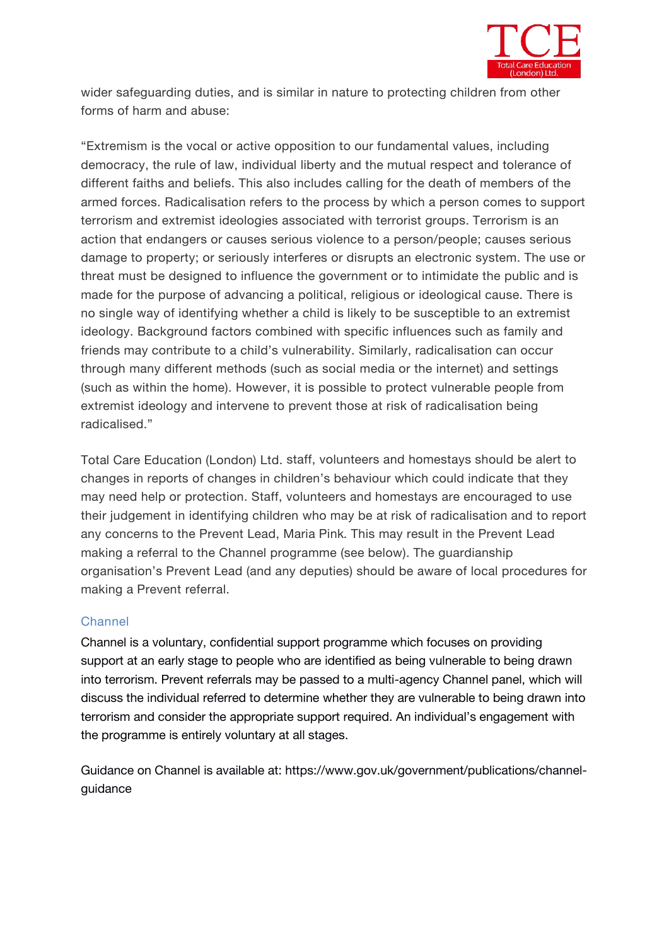

wider safeguarding duties, and is similar in nature to protecting children from other forms of harm and abuse:

"Extremism is the vocal or active opposition to our fundamental values, including democracy, the rule of law, individual liberty and the mutual respect and tolerance of different faiths and beliefs. This also includes calling for the death of members of the armed forces. Radicalisation refers to the process by which a person comes to support terrorism and extremist ideologies associated with terrorist groups. Terrorism is an action that endangers or causes serious violence to a person/people; causes serious damage to property; or seriously interferes or disrupts an electronic system. The use or threat must be designed to influence the government or to intimidate the public and is made for the purpose of advancing a political, religious or ideological cause. There is no single way of identifying whether a child is likely to be susceptible to an extremist ideology. Background factors combined with specific influences such as family and friends may contribute to a child's vulnerability. Similarly, radicalisation can occur through many different methods (such as social media or the internet) and settings (such as within the home). However, it is possible to protect vulnerable people from extremist ideology and intervene to prevent those at risk of radicalisation being radicalised."

*Total Care Education (London) Ltd.* staff, volunteers and homestays should be alert to changes in reports of changes in children's behaviour which could indicate that they may need help or protection. Staff, volunteers and homestays are encouraged to use their judgement in identifying children who may be at risk of radicalisation and to report any concerns to the Prevent Lead, *Maria Pink*. This may result in the Prevent Lead making a referral to the Channel programme (see below). The guardianship organisation's Prevent Lead (and any deputies) should be aware of local procedures for making a Prevent referral.

#### **Channel**

Channel is a voluntary, confidential support programme which focuses on providing support at an early stage to people who are identified as being vulnerable to being drawn into terrorism. Prevent referrals may be passed to a multi-agency Channel panel, which will discuss the individual referred to determine whether they are vulnerable to being drawn into terrorism and consider the appropriate support required. An individual's engagement with the programme is entirely voluntary at all stages.

Guidance on Channel is available at: https://www.gov.uk/government/publications/channel guidance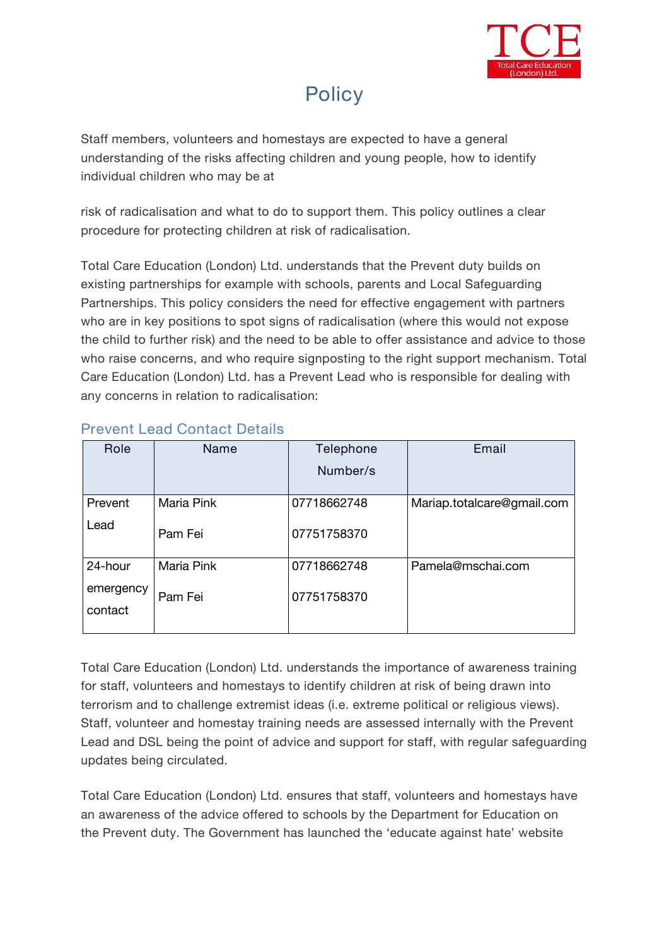

### **Policy**

Staff members, volunteers and homestays are expected to have a general understanding of the risks affecting children and young people, how to identify individual children who may be at

risk of radicalisation and what to do to support them. This policy outlines a clear procedure for protecting children at risk of radicalisation.

*Total Care Education (London) Ltd.* understands that the Prevent duty builds on existing partnerships for example with schools, parents and Local Safeguarding Partnerships. This policy considers the need for effective engagement with partners who are in key positions to spot signs of radicalisation (where this would not expose the child to further risk) and the need to be able to offer assistance and advice to those who raise concerns, and who require signposting to the right support mechanism. Total *Care Education (London) Ltd.* has a Prevent Lead who is responsible for dealing with any concerns in relation to radicalisation:

| Role                 | Name       | Telephone<br>Number/s | Email                      |
|----------------------|------------|-----------------------|----------------------------|
| Prevent<br>Lead      | Maria Pink | 07718662748           | Mariap.totalcare@gmail.com |
|                      | Pam Fei    | 07751758370           |                            |
| 24-hour<br>emergency | Maria Pink | 07718662748           | Pamela@mschai.com          |
| contact              | Pam Fei    | 07751758370           |                            |

#### **Prevent Lead Contact Details**

*Total Care Education (London) Ltd.* understands the importance of awareness training for staff, volunteers and homestays to identify children at risk of being drawn into terrorism and to challenge extremist ideas (i.e. extreme political or religious views). Staff, volunteer and homestay training needs are assessed internally with the Prevent Lead and DSL being the point of advice and support for staff, with regular safeguarding updates being circulated.

*Total Care Education (London) Ltd.* ensures that staff, volunteers and homestays have an awareness of the advice offered to schools by the Department for Education on the Prevent duty. The Government has launched the 'educate against hate' website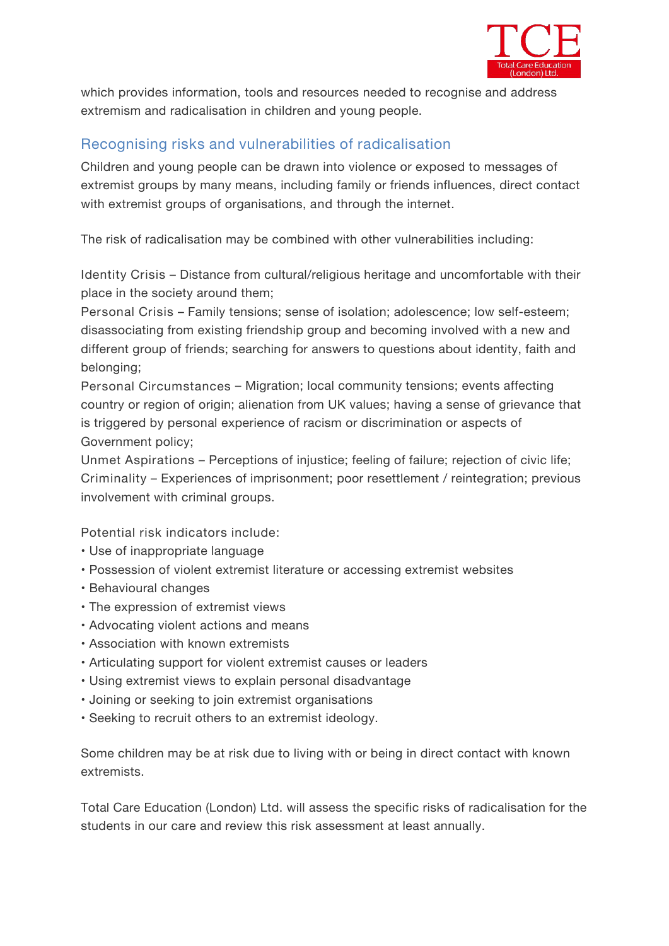

which provides information, tools and resources needed to recognise and address extremism and radicalisation in children and young people.

#### **Recognising risks and vulnerabilities of radicalisation**

Children and young people can be drawn into violence or exposed to messages of extremist groups by many means, including family or friends influences, direct contact with extremist groups of organisations, and through the internet.

The risk of radicalisation may be combined with other vulnerabilities including:

**Identity Crisis** – Distance from cultural/religious heritage and uncomfortable with their place in the society around them;

**Personal Crisis** – Family tensions; sense of isolation; adolescence; low self-esteem; disassociating from existing friendship group and becoming involved with a new and different group of friends; searching for answers to questions about identity, faith and belonging;

**Personal Circumstances** – Migration; local community tensions; events affecting country or region of origin; alienation from UK values; having a sense of grievance that is triggered by personal experience of racism or discrimination or aspects of Government policy;

**Unmet Aspirations** – Perceptions of injustice; feeling of failure; rejection of civic life; **Criminality** – Experiences of imprisonment; poor resettlement / reintegration; previous involvement with criminal groups.

**Potential risk indicators include:**

- Use of inappropriate language
- Possession of violent extremist literature or accessing extremist websites
- Behavioural changes
- The expression of extremist views
- Advocating violent actions and means
- Association with known extremists
- Articulating support for violent extremist causes or leaders
- Using extremist views to explain personal disadvantage
- Joining or seeking to join extremist organisations
- Seeking to recruit others to an extremist ideology.

Some children may be at risk due to living with or being in direct contact with known extremists.

*Total Care Education (London) Ltd.* will assess the specific risks of radicalisation for the students in our care and review this risk assessment at least annually.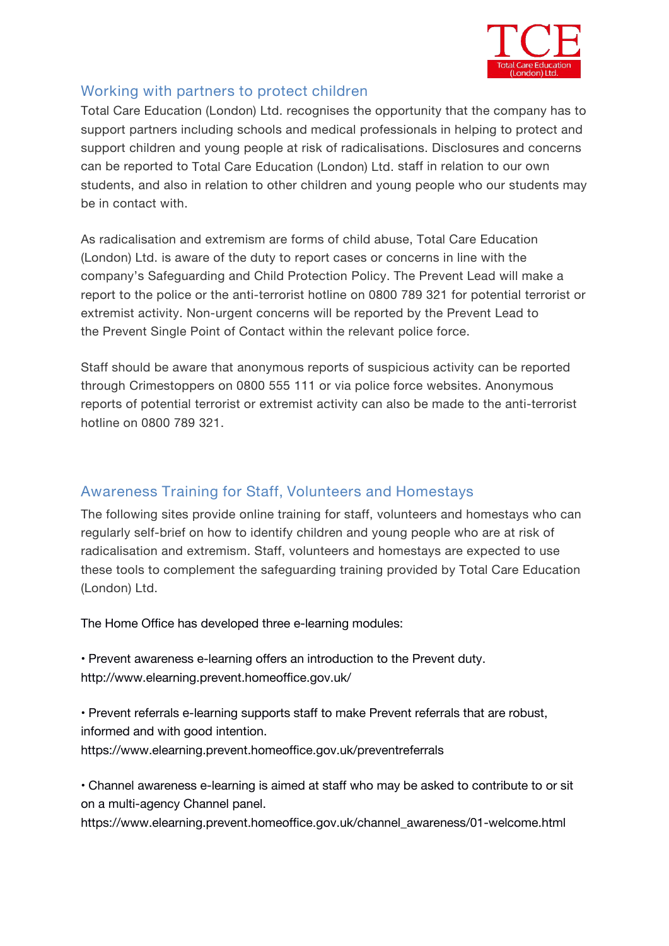

#### **Working with partners to protect children**

*Total Care Education (London) Ltd.* recognises the opportunity that the company has to support partners including schools and medical professionals in helping to protect and support children and young people at risk of radicalisations. Disclosures and concerns can be reported to *Total Care Education (London) Ltd.* staff in relation to our own students, and also in relation to other children and young people who our students may be in contact with.

As radicalisation and extremism are forms of child abuse, *Total Care Education (London) Ltd.* is aware of the duty to report cases or concerns in line with the company's Safeguarding and Child Protection Policy. The Prevent Lead will make a report to the police or the anti-terrorist hotline on 0800 789 321 for potential terrorist or extremist activity. Non-urgent concerns will be reported by the Prevent Lead to the Prevent Single Point of Contact within the relevant police force.

Staff should be aware that anonymous reports of suspicious activity can be reported through Crimestoppers on 0800 555 111 or via police force websites. Anonymous reports of potential terrorist or extremist activity can also be made to the anti-terrorist hotline on 0800 789 321.

#### **Awareness Training for Staff, Volunteers and Homestays**

The following sites provide online training for staff, volunteers and homestays who can regularly self-brief on how to identify children and young people who are at risk of radicalisation and extremism. Staff, volunteers and homestays are expected to use these tools to complement the safeguarding training provided by *Total Care Education (London) Ltd.*

The Home Office has developed three e-learning modules:

• Prevent awareness e-learning offers an introduction to the Prevent duty. http://www.elearning.prevent.homeoffice.gov.uk/

• Prevent referrals e-learning supports staff to make Prevent referrals that are robust, informed and with good intention. https://www.elearning.prevent.homeoffice.gov.uk/preventreferrals

• Channel awareness e-learning is aimed at staff who may be asked to contribute to or sit on a multi-agency Channel panel.

https://www.elearning.prevent.homeoffice.gov.uk/channel\_awareness/01-welcome.html